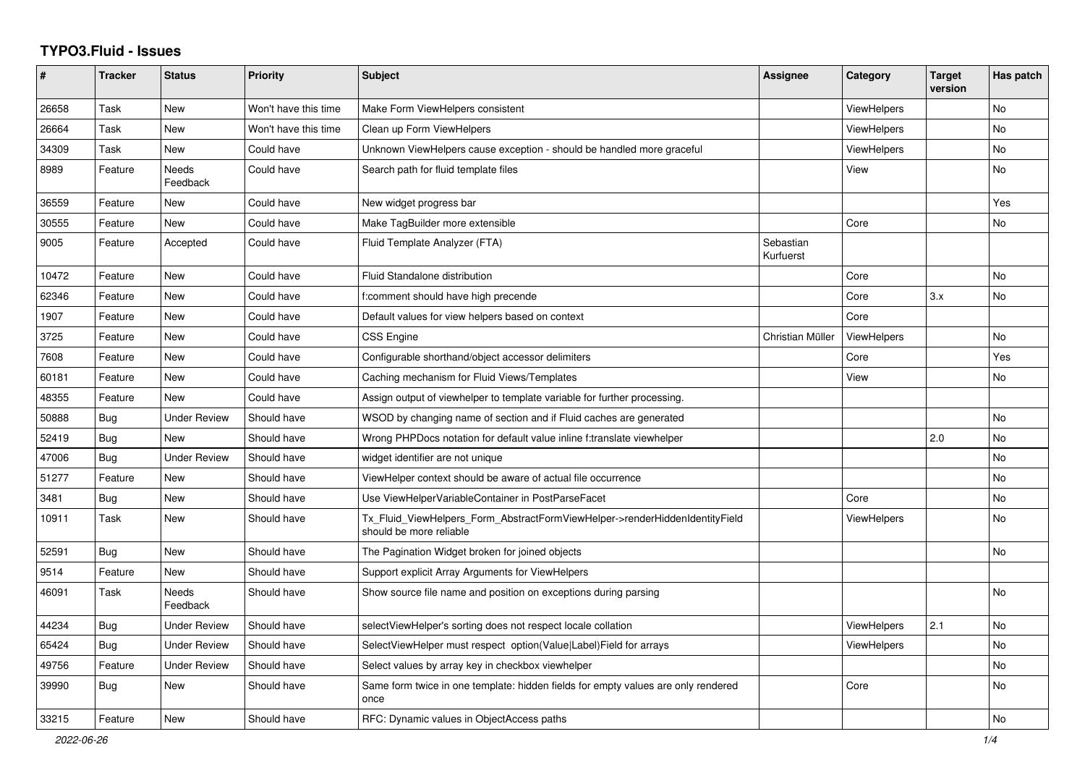## **TYPO3.Fluid - Issues**

| #     | <b>Tracker</b> | <b>Status</b>       | <b>Priority</b>      | <b>Subject</b>                                                                                         | Assignee               | Category           | <b>Target</b><br>version | Has patch |
|-------|----------------|---------------------|----------------------|--------------------------------------------------------------------------------------------------------|------------------------|--------------------|--------------------------|-----------|
| 26658 | Task           | New                 | Won't have this time | Make Form ViewHelpers consistent                                                                       |                        | <b>ViewHelpers</b> |                          | <b>No</b> |
| 26664 | Task           | <b>New</b>          | Won't have this time | Clean up Form ViewHelpers                                                                              |                        | <b>ViewHelpers</b> |                          | <b>No</b> |
| 34309 | Task           | New                 | Could have           | Unknown ViewHelpers cause exception - should be handled more graceful                                  |                        | ViewHelpers        |                          | No        |
| 8989  | Feature        | Needs<br>Feedback   | Could have           | Search path for fluid template files                                                                   |                        | View               |                          | No        |
| 36559 | Feature        | New                 | Could have           | New widget progress bar                                                                                |                        |                    |                          | Yes       |
| 30555 | Feature        | <b>New</b>          | Could have           | Make TagBuilder more extensible                                                                        |                        | Core               |                          | <b>No</b> |
| 9005  | Feature        | Accepted            | Could have           | Fluid Template Analyzer (FTA)                                                                          | Sebastian<br>Kurfuerst |                    |                          |           |
| 10472 | Feature        | <b>New</b>          | Could have           | Fluid Standalone distribution                                                                          |                        | Core               |                          | No        |
| 62346 | Feature        | <b>New</b>          | Could have           | f:comment should have high precende                                                                    |                        | Core               | 3.x                      | <b>No</b> |
| 1907  | Feature        | New                 | Could have           | Default values for view helpers based on context                                                       |                        | Core               |                          |           |
| 3725  | Feature        | New                 | Could have           | CSS Engine                                                                                             | Christian Müller       | ViewHelpers        |                          | <b>No</b> |
| 7608  | Feature        | New                 | Could have           | Configurable shorthand/object accessor delimiters                                                      |                        | Core               |                          | Yes       |
| 60181 | Feature        | New                 | Could have           | Caching mechanism for Fluid Views/Templates                                                            |                        | View               |                          | No        |
| 48355 | Feature        | <b>New</b>          | Could have           | Assign output of viewhelper to template variable for further processing.                               |                        |                    |                          |           |
| 50888 | <b>Bug</b>     | <b>Under Review</b> | Should have          | WSOD by changing name of section and if Fluid caches are generated                                     |                        |                    |                          | <b>No</b> |
| 52419 | <b>Bug</b>     | <b>New</b>          | Should have          | Wrong PHPDocs notation for default value inline f:translate viewhelper                                 |                        |                    | 2.0                      | <b>No</b> |
| 47006 | Bug            | Under Review        | Should have          | widget identifier are not unique                                                                       |                        |                    |                          | <b>No</b> |
| 51277 | Feature        | New                 | Should have          | ViewHelper context should be aware of actual file occurrence                                           |                        |                    |                          | No        |
| 3481  | Bug            | New                 | Should have          | Use ViewHelperVariableContainer in PostParseFacet                                                      |                        | Core               |                          | No        |
| 10911 | Task           | <b>New</b>          | Should have          | Tx Fluid ViewHelpers Form AbstractFormViewHelper->renderHiddenIdentityField<br>should be more reliable |                        | ViewHelpers        |                          | No.       |
| 52591 | Bug            | <b>New</b>          | Should have          | The Pagination Widget broken for joined objects                                                        |                        |                    |                          | <b>No</b> |
| 9514  | Feature        | <b>New</b>          | Should have          | Support explicit Array Arguments for ViewHelpers                                                       |                        |                    |                          |           |
| 46091 | Task           | Needs<br>Feedback   | Should have          | Show source file name and position on exceptions during parsing                                        |                        |                    |                          | <b>No</b> |
| 44234 | <b>Bug</b>     | Under Review        | Should have          | selectViewHelper's sorting does not respect locale collation                                           |                        | <b>ViewHelpers</b> | 2.1                      | <b>No</b> |
| 65424 | Bug            | <b>Under Review</b> | Should have          | SelectViewHelper must respect option(Value Label)Field for arrays                                      |                        | ViewHelpers        |                          | <b>No</b> |
| 49756 | Feature        | <b>Under Review</b> | Should have          | Select values by array key in checkbox viewhelper                                                      |                        |                    |                          | <b>No</b> |
| 39990 | Bug            | New                 | Should have          | Same form twice in one template: hidden fields for empty values are only rendered<br>once              |                        | Core               |                          | No        |
| 33215 | Feature        | New                 | Should have          | RFC: Dynamic values in ObjectAccess paths                                                              |                        |                    |                          | No        |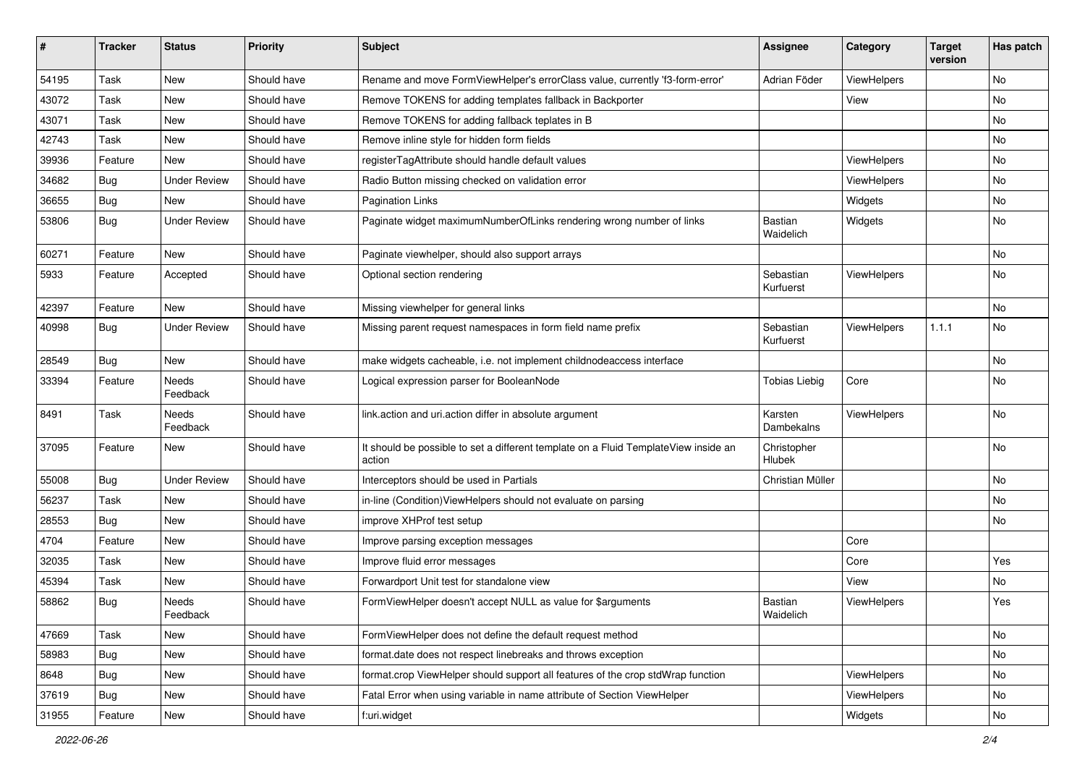| #     | <b>Tracker</b> | <b>Status</b>       | <b>Priority</b> | Subject                                                                                       | <b>Assignee</b>             | Category    | <b>Target</b><br>version | Has patch |
|-------|----------------|---------------------|-----------------|-----------------------------------------------------------------------------------------------|-----------------------------|-------------|--------------------------|-----------|
| 54195 | Task           | New                 | Should have     | Rename and move FormViewHelper's errorClass value, currently 'f3-form-error'                  | Adrian Föder                | ViewHelpers |                          | No        |
| 43072 | Task           | New                 | Should have     | Remove TOKENS for adding templates fallback in Backporter                                     |                             | View        |                          | No        |
| 43071 | Task           | New                 | Should have     | Remove TOKENS for adding fallback teplates in B                                               |                             |             |                          | No        |
| 42743 | Task           | New                 | Should have     | Remove inline style for hidden form fields                                                    |                             |             |                          | No        |
| 39936 | Feature        | New                 | Should have     | registerTagAttribute should handle default values                                             |                             | ViewHelpers |                          | No        |
| 34682 | Bug            | Under Review        | Should have     | Radio Button missing checked on validation error                                              |                             | ViewHelpers |                          | No        |
| 36655 | Bug            | New                 | Should have     | <b>Pagination Links</b>                                                                       |                             | Widgets     |                          | No        |
| 53806 | Bug            | <b>Under Review</b> | Should have     | Paginate widget maximumNumberOfLinks rendering wrong number of links                          | <b>Bastian</b><br>Waidelich | Widgets     |                          | No        |
| 60271 | Feature        | New                 | Should have     | Paginate viewhelper, should also support arrays                                               |                             |             |                          | No        |
| 5933  | Feature        | Accepted            | Should have     | Optional section rendering                                                                    | Sebastian<br>Kurfuerst      | ViewHelpers |                          | No        |
| 42397 | Feature        | New                 | Should have     | Missing viewhelper for general links                                                          |                             |             |                          | No        |
| 40998 | Bug            | <b>Under Review</b> | Should have     | Missing parent request namespaces in form field name prefix                                   | Sebastian<br>Kurfuerst      | ViewHelpers | 1.1.1                    | No        |
| 28549 | Bug            | New                 | Should have     | make widgets cacheable, i.e. not implement childnodeaccess interface                          |                             |             |                          | No        |
| 33394 | Feature        | Needs<br>Feedback   | Should have     | Logical expression parser for BooleanNode                                                     | <b>Tobias Liebig</b>        | Core        |                          | No        |
| 8491  | Task           | Needs<br>Feedback   | Should have     | link.action and uri.action differ in absolute argument                                        | Karsten<br>Dambekalns       | ViewHelpers |                          | No        |
| 37095 | Feature        | New                 | Should have     | It should be possible to set a different template on a Fluid TemplateView inside an<br>action | Christopher<br>Hlubek       |             |                          | No        |
| 55008 | Bug            | <b>Under Review</b> | Should have     | Interceptors should be used in Partials                                                       | Christian Müller            |             |                          | No        |
| 56237 | Task           | New                 | Should have     | in-line (Condition) View Helpers should not evaluate on parsing                               |                             |             |                          | No        |
| 28553 | Bug            | <b>New</b>          | Should have     | improve XHProf test setup                                                                     |                             |             |                          | No        |
| 4704  | Feature        | New                 | Should have     | Improve parsing exception messages                                                            |                             | Core        |                          |           |
| 32035 | Task           | New                 | Should have     | Improve fluid error messages                                                                  |                             | Core        |                          | Yes       |
| 45394 | Task           | New                 | Should have     | Forwardport Unit test for standalone view                                                     |                             | View        |                          | No        |
| 58862 | Bug            | Needs<br>Feedback   | Should have     | FormViewHelper doesn't accept NULL as value for \$arguments                                   | Bastian<br>Waidelich        | ViewHelpers |                          | Yes       |
| 47669 | Task           | New                 | Should have     | FormViewHelper does not define the default request method                                     |                             |             |                          | No        |
| 58983 | <b>Bug</b>     | New                 | Should have     | format.date does not respect linebreaks and throws exception                                  |                             |             |                          | No        |
| 8648  | Bug            | New                 | Should have     | format.crop ViewHelper should support all features of the crop stdWrap function               |                             | ViewHelpers |                          | No        |
| 37619 | Bug            | New                 | Should have     | Fatal Error when using variable in name attribute of Section ViewHelper                       |                             | ViewHelpers |                          | No        |
| 31955 | Feature        | New                 | Should have     | f:uri.widget                                                                                  |                             | Widgets     |                          | No        |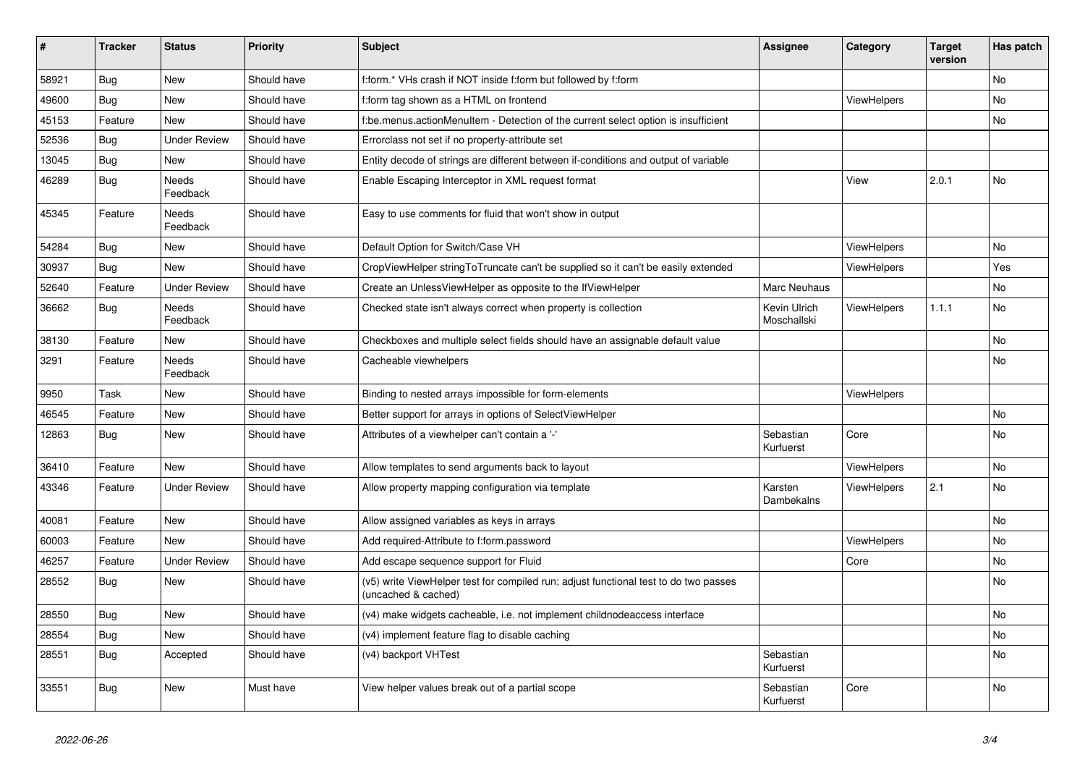| #     | <b>Tracker</b> | <b>Status</b>            | <b>Priority</b> | <b>Subject</b>                                                                                              | Assignee                    | Category           | <b>Target</b><br>version | Has patch |
|-------|----------------|--------------------------|-----------------|-------------------------------------------------------------------------------------------------------------|-----------------------------|--------------------|--------------------------|-----------|
| 58921 | Bug            | <b>New</b>               | Should have     | f:form.* VHs crash if NOT inside f:form but followed by f:form                                              |                             |                    |                          | No.       |
| 49600 | <b>Bug</b>     | <b>New</b>               | Should have     | f:form tag shown as a HTML on frontend                                                                      |                             | <b>ViewHelpers</b> |                          | No        |
| 45153 | Feature        | <b>New</b>               | Should have     | f:be.menus.actionMenuItem - Detection of the current select option is insufficient                          |                             |                    |                          | No        |
| 52536 | Bug            | <b>Under Review</b>      | Should have     | Errorclass not set if no property-attribute set                                                             |                             |                    |                          |           |
| 13045 | Bug            | New                      | Should have     | Entity decode of strings are different between if-conditions and output of variable                         |                             |                    |                          |           |
| 46289 | <b>Bug</b>     | <b>Needs</b><br>Feedback | Should have     | Enable Escaping Interceptor in XML request format                                                           |                             | View               | 2.0.1                    | No        |
| 45345 | Feature        | <b>Needs</b><br>Feedback | Should have     | Easy to use comments for fluid that won't show in output                                                    |                             |                    |                          |           |
| 54284 | <b>Bug</b>     | New                      | Should have     | Default Option for Switch/Case VH                                                                           |                             | <b>ViewHelpers</b> |                          | No        |
| 30937 | <b>Bug</b>     | <b>New</b>               | Should have     | CropViewHelper stringToTruncate can't be supplied so it can't be easily extended                            |                             | <b>ViewHelpers</b> |                          | Yes       |
| 52640 | Feature        | <b>Under Review</b>      | Should have     | Create an UnlessViewHelper as opposite to the IfViewHelper                                                  | Marc Neuhaus                |                    |                          | No        |
| 36662 | Bug            | Needs<br>Feedback        | Should have     | Checked state isn't always correct when property is collection                                              | Kevin Ulrich<br>Moschallski | <b>ViewHelpers</b> | 1.1.1                    | No        |
| 38130 | Feature        | <b>New</b>               | Should have     | Checkboxes and multiple select fields should have an assignable default value                               |                             |                    |                          | No.       |
| 3291  | Feature        | Needs<br>Feedback        | Should have     | Cacheable viewhelpers                                                                                       |                             |                    |                          | No        |
| 9950  | Task           | <b>New</b>               | Should have     | Binding to nested arrays impossible for form-elements                                                       |                             | ViewHelpers        |                          |           |
| 46545 | Feature        | <b>New</b>               | Should have     | Better support for arrays in options of SelectViewHelper                                                    |                             |                    |                          | No        |
| 12863 | <b>Bug</b>     | <b>New</b>               | Should have     | Attributes of a viewhelper can't contain a '-'                                                              | Sebastian<br>Kurfuerst      | Core               |                          | <b>No</b> |
| 36410 | Feature        | <b>New</b>               | Should have     | Allow templates to send arguments back to layout                                                            |                             | ViewHelpers        |                          | No        |
| 43346 | Feature        | <b>Under Review</b>      | Should have     | Allow property mapping configuration via template                                                           | Karsten<br>Dambekalns       | ViewHelpers        | 2.1                      | <b>No</b> |
| 40081 | Feature        | New                      | Should have     | Allow assigned variables as keys in arrays                                                                  |                             |                    |                          | No        |
| 60003 | Feature        | New                      | Should have     | Add required-Attribute to f:form.password                                                                   |                             | <b>ViewHelpers</b> |                          | No        |
| 46257 | Feature        | <b>Under Review</b>      | Should have     | Add escape sequence support for Fluid                                                                       |                             | Core               |                          | No        |
| 28552 | <b>Bug</b>     | New                      | Should have     | (v5) write ViewHelper test for compiled run; adjust functional test to do two passes<br>(uncached & cached) |                             |                    |                          | No        |
| 28550 | Bug            | New                      | Should have     | (v4) make widgets cacheable, i.e. not implement childnodeaccess interface                                   |                             |                    |                          | No        |
| 28554 | <b>Bug</b>     | New                      | Should have     | (v4) implement feature flag to disable caching                                                              |                             |                    |                          | No        |
| 28551 | Bug            | Accepted                 | Should have     | (v4) backport VHTest                                                                                        | Sebastian<br>Kurfuerst      |                    |                          | No        |
| 33551 | Bug            | <b>New</b>               | Must have       | View helper values break out of a partial scope                                                             | Sebastian<br>Kurfuerst      | Core               |                          | No        |